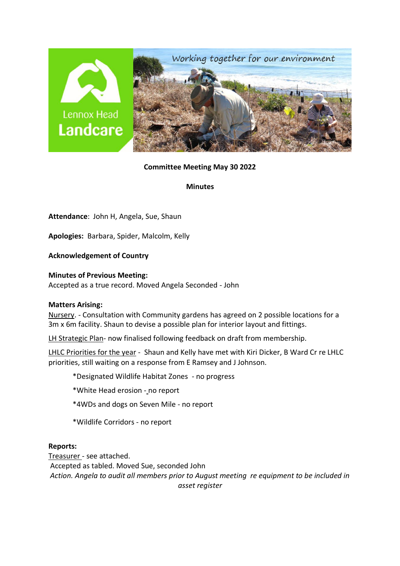

### **Committee Meeting May 30 2022**

**Minutes**

**Attendance**: John H, Angela, Sue, Shaun

**Apologies:** Barbara, Spider, Malcolm, Kelly

**Acknowledgement of Country**

**Minutes of Previous Meeting:**  Accepted as a true record. Moved Angela Seconded - John

### **Matters Arising:**

Nursery. - Consultation with Community gardens has agreed on 2 possible locations for a 3m x 6m facility. Shaun to devise a possible plan for interior layout and fittings.

LH Strategic Plan- now finalised following feedback on draft from membership.

LHLC Priorities for the year - Shaun and Kelly have met with Kiri Dicker, B Ward Cr re LHLC priorities, still waiting on a response from E Ramsey and J Johnson.

\*Designated Wildlife Habitat Zones - no progress

\*White Head erosion - no report

\*4WDs and dogs on Seven Mile - no report

\*Wildlife Corridors - no report

### **Reports:**

Treasurer - see attached. Accepted as tabled. Moved Sue, seconded John *Action. Angela to audit all members prior to August meeting re equipment to be included in asset register*